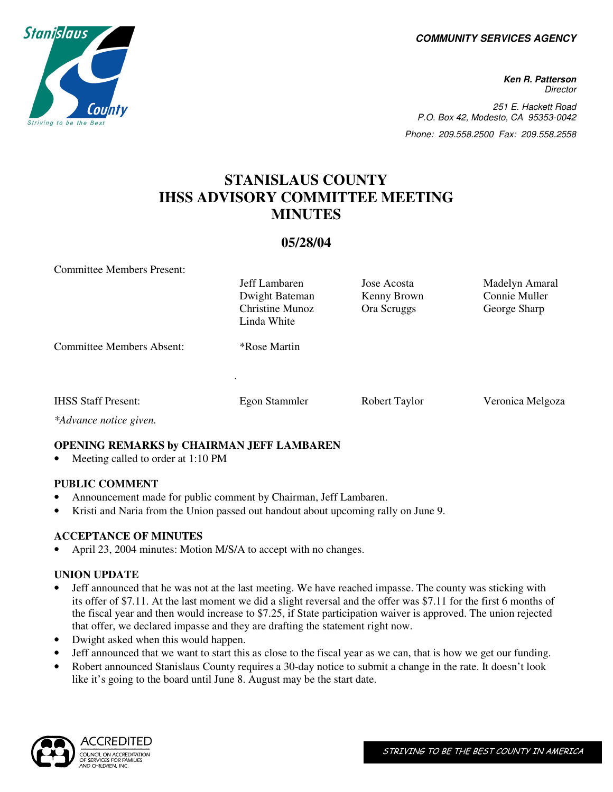**COMMUNITY SERVICES AGENCY** 

**Ken R. Patterson Director** 251 E. Hackett Road P.O. Box 42, Modesto, CA 95353-0042 Phone: 209.558.2500 Fax: 209.558.2558

# **STANISLAUS COUNTY IHSS ADVISORY COMMITTEE MEETING MINUTES**

### **05/28/04**

Committee Members Present:

|                                  | Jeff Lambaren<br>Dwight Bateman<br><b>Christine Munoz</b><br>Linda White | Jose Acosta<br>Kenny Brown<br>Ora Scruggs | Madelyn Amaral<br>Connie Muller<br>George Sharp |
|----------------------------------|--------------------------------------------------------------------------|-------------------------------------------|-------------------------------------------------|
| <b>Committee Members Absent:</b> | <i>*Rose Martin</i><br>٠                                                 |                                           |                                                 |
| <b>IHSS Staff Present:</b>       | <b>Egon Stammler</b>                                                     | Robert Taylor                             | Veronica Melgoza                                |

*\*Advance notice given.* 

#### **OPENING REMARKS by CHAIRMAN JEFF LAMBAREN**

• Meeting called to order at 1:10 PM

#### **PUBLIC COMMENT**

- Announcement made for public comment by Chairman, Jeff Lambaren.
- Kristi and Naria from the Union passed out handout about upcoming rally on June 9.

#### **ACCEPTANCE OF MINUTES**

April 23, 2004 minutes: Motion M/S/A to accept with no changes.

## **UNION UPDATE**

- Jeff announced that he was not at the last meeting. We have reached impasse. The county was sticking with its offer of \$7.11. At the last moment we did a slight reversal and the offer was \$7.11 for the first 6 months of the fiscal year and then would increase to \$7.25, if State participation waiver is approved. The union rejected that offer, we declared impasse and they are drafting the statement right now.
- Dwight asked when this would happen.
- Jeff announced that we want to start this as close to the fiscal year as we can, that is how we get our funding.
- Robert announced Stanislaus County requires a 30-day notice to submit a change in the rate. It doesn't look like it's going to the board until June 8. August may be the start date.